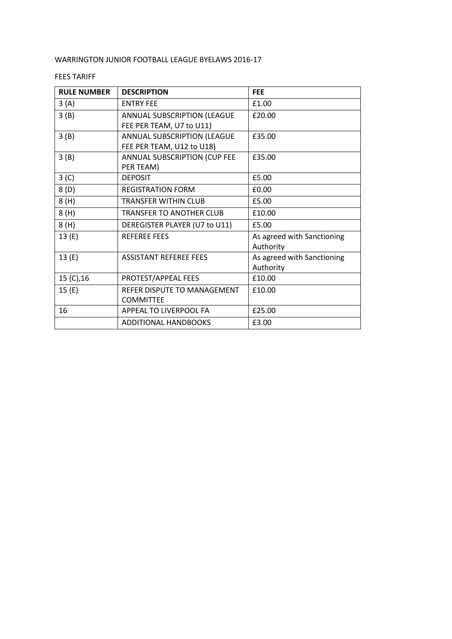## WARRINGTON JUNIOR FOOTBALL LEAGUE BYELAWS 2016-17

## FEES TARIFF

| <b>RULE NUMBER</b> | <b>DESCRIPTION</b>                                       | <b>FEE</b>                              |
|--------------------|----------------------------------------------------------|-----------------------------------------|
| 3(A)               | <b>ENTRY FEE</b>                                         | £1.00                                   |
| 3(B)               | ANNUAL SUBSCRIPTION (LEAGUE<br>FEE PER TEAM, U7 to U11)  | £20.00                                  |
| 3(B)               | ANNUAL SUBSCRIPTION (LEAGUE<br>FEE PER TEAM, U12 to U18) | £35.00                                  |
| 3(B)               | ANNUAL SUBSCRIPTION (CUP FEE<br>PER TEAM)                | £35.00                                  |
| 3 <sup>(C)</sup>   | <b>DEPOSIT</b>                                           | £5.00                                   |
| 8(D)               | <b>REGISTRATION FORM</b>                                 | £0.00                                   |
| 8(H)               | <b>TRANSFER WITHIN CLUB</b>                              | £5.00                                   |
| 8(H)               | <b>TRANSFER TO ANOTHER CLUB</b>                          | £10.00                                  |
| 8(H)               | DEREGISTER PLAYER (U7 to U11)                            | £5.00                                   |
| 13(E)              | <b>REFEREE FEES</b>                                      | As agreed with Sanctioning<br>Authority |
| 13(E)              | <b>ASSISTANT REFEREE FEES</b>                            | As agreed with Sanctioning<br>Authority |
| 15 (C), 16         | PROTEST/APPEAL FEES                                      | £10.00                                  |
| 15(E)              | REFER DISPUTE TO MANAGEMENT                              | £10.00                                  |
|                    | <b>COMMITTEE</b>                                         |                                         |
| 16                 | APPEAL TO LIVERPOOL FA                                   | £25.00                                  |
|                    | <b>ADDITIONAL HANDBOOKS</b>                              | £3.00                                   |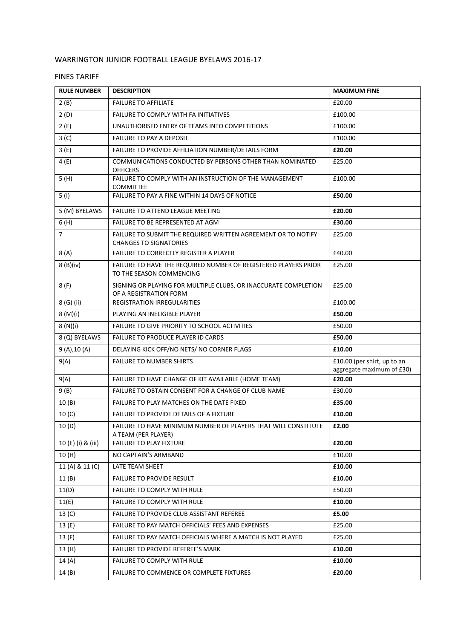## WARRINGTON JUNIOR FOOTBALL LEAGUE BYELAWS 2016-17

## FINES TARIFF

| <b>RULE NUMBER</b> | <b>DESCRIPTION</b>                                                                             | <b>MAXIMUM FINE</b>                                      |
|--------------------|------------------------------------------------------------------------------------------------|----------------------------------------------------------|
| 2(B)               | <b>FAILURE TO AFFILIATE</b>                                                                    | £20.00                                                   |
| 2(D)               | FAILURE TO COMPLY WITH FA INITIATIVES                                                          | £100.00                                                  |
| 2(E)               | UNAUTHORISED ENTRY OF TEAMS INTO COMPETITIONS                                                  | £100.00                                                  |
| 3 <sup>(C)</sup>   | FAILURE TO PAY A DEPOSIT                                                                       | £100.00                                                  |
| 3(E)               | FAILURE TO PROVIDE AFFILIATION NUMBER/DETAILS FORM                                             | £20.00                                                   |
| 4(E)               | COMMUNICATIONS CONDUCTED BY PERSONS OTHER THAN NOMINATED<br><b>OFFICERS</b>                    | £25.00                                                   |
| 5(H)               | FAILURE TO COMPLY WITH AN INSTRUCTION OF THE MANAGEMENT<br><b>COMMITTEE</b>                    | £100.00                                                  |
| 5(1)               | FAILURE TO PAY A FINE WITHIN 14 DAYS OF NOTICE                                                 | £50.00                                                   |
| 5 (M) BYELAWS      | FAILURE TO ATTEND LEAGUE MEETING                                                               | £20.00                                                   |
| 6(H)               | FAILURE TO BE REPRESENTED AT AGM                                                               | £30.00                                                   |
| $\overline{7}$     | FAILURE TO SUBMIT THE REQUIRED WRITTEN AGREEMENT OR TO NOTIFY<br><b>CHANGES TO SIGNATORIES</b> | £25.00                                                   |
| 8(A)               | FAILURE TO CORRECTLY REGISTER A PLAYER                                                         | £40.00                                                   |
| 8 (B)(iv)          | FAILURE TO HAVE THE REQUIRED NUMBER OF REGISTERED PLAYERS PRIOR<br>TO THE SEASON COMMENCING    | £25.00                                                   |
| 8(F)               | SIGNING OR PLAYING FOR MULTIPLE CLUBS, OR INACCURATE COMPLETION<br>OF A REGISTRATION FORM      | £25.00                                                   |
| 8 (G) (ii)         | REGISTRATION IRREGULARITIES                                                                    | £100.00                                                  |
| 8 (M)(i)           | PLAYING AN INELIGIBLE PLAYER                                                                   | £50.00                                                   |
| 8(N)(i)            | FAILURE TO GIVE PRIORITY TO SCHOOL ACTIVITIES                                                  | £50.00                                                   |
| 8 (Q) BYELAWS      | FAILURE TO PRODUCE PLAYER ID CARDS                                                             | £50.00                                                   |
| 9(A), 10(A)        | DELAYING KICK OFF/NO NETS/ NO CORNER FLAGS                                                     | £10.00                                                   |
| 9(A)               | <b>FAILURE TO NUMBER SHIRTS</b>                                                                | £10.00 (per shirt, up to an<br>aggregate maximum of £30) |
| 9(A)               | FAILURE TO HAVE CHANGE OF KIT AVAILABLE (HOME TEAM)                                            | £20.00                                                   |
| 9(B)               | FAILURE TO OBTAIN CONSENT FOR A CHANGE OF CLUB NAME                                            | £30.00                                                   |
| 10(B)              | FAILURE TO PLAY MATCHES ON THE DATE FIXED                                                      | £35.00                                                   |
| 10 <sub>(C)</sub>  | FAILURE TO PROVIDE DETAILS OF A FIXTURE                                                        | £10.00                                                   |
| 10(D)              | FAILURE TO HAVE MINIMUM NUMBER OF PLAYERS THAT WILL CONSTITUTE<br>A TEAM (PER PLAYER)          | £2.00                                                    |
| 10 (E) (i) & (iii) | <b>FAILURE TO PLAY FIXTURE</b>                                                                 | £20.00                                                   |
| 10 (H)             | NO CAPTAIN'S ARMBAND                                                                           | £10.00                                                   |
| 11 (A) & 11 (C)    | LATE TEAM SHEET                                                                                | £10.00                                                   |
| 11(B)              | <b>FAILURE TO PROVIDE RESULT</b>                                                               | £10.00                                                   |
| 11(D)              | FAILURE TO COMPLY WITH RULE                                                                    | £50.00                                                   |
| 11(E)              | FAILURE TO COMPLY WITH RULE                                                                    | £10.00                                                   |
| $13($ C)           | FAILURE TO PROVIDE CLUB ASSISTANT REFEREE                                                      | £5.00                                                    |
| 13 (E)             | FAILURE TO PAY MATCH OFFICIALS' FEES AND EXPENSES                                              | £25.00                                                   |
| 13 (F)             | FAILURE TO PAY MATCH OFFICIALS WHERE A MATCH IS NOT PLAYED                                     | £25.00                                                   |
| 13(H)              | FAILURE TO PROVIDE REFEREE'S MARK                                                              | £10.00                                                   |
| 14(A)              | FAILURE TO COMPLY WITH RULE                                                                    | £10.00                                                   |
| 14 (B)             | FAILURE TO COMMENCE OR COMPLETE FIXTURES                                                       | £20.00                                                   |